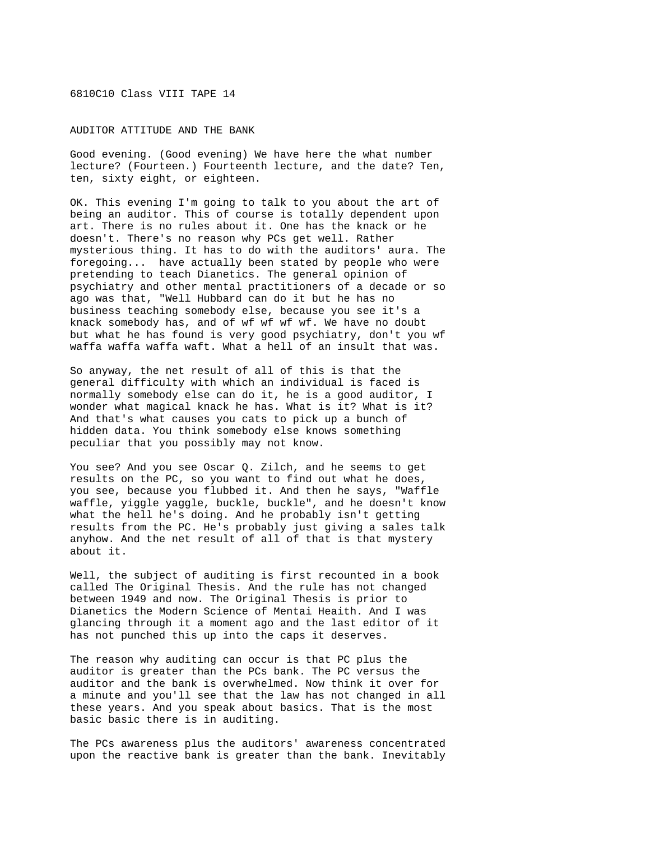## 6810C10 Class VIII TAPE 14

## AUDITOR ATTITUDE AND THE BANK

Good evening. (Good evening) We have here the what number lecture? (Fourteen.) Fourteenth lecture, and the date? Ten, ten, sixty eight, or eighteen.

OK. This evening I'm going to talk to you about the art of being an auditor. This of course is totally dependent upon art. There is no rules about it. One has the knack or he doesn't. There's no reason why PCs get well. Rather mysterious thing. It has to do with the auditors' aura. The foregoing... have actually been stated by people who were pretending to teach Dianetics. The general opinion of psychiatry and other mental practitioners of a decade or so ago was that, "Well Hubbard can do it but he has no business teaching somebody else, because you see it's a knack somebody has, and of wf wf wf wf. We have no doubt but what he has found is very good psychiatry, don't you wf waffa waffa waffa waft. What a hell of an insult that was.

So anyway, the net result of all of this is that the general difficulty with which an individual is faced is normally somebody else can do it, he is a good auditor, I wonder what magical knack he has. What is it? What is it? And that's what causes you cats to pick up a bunch of hidden data. You think somebody else knows something peculiar that you possibly may not know.

You see? And you see Oscar Q. Zilch, and he seems to get results on the PC, so you want to find out what he does, you see, because you flubbed it. And then he says, "Waffle waffle, yiggle yaggle, buckle, buckle", and he doesn't know what the hell he's doing. And he probably isn't getting results from the PC. He's probably just giving a sales talk anyhow. And the net result of all of that is that mystery about it.

Well, the subject of auditing is first recounted in a book called The Original Thesis. And the rule has not changed between 1949 and now. The Original Thesis is prior to Dianetics the Modern Science of Mentai Heaith. And I was glancing through it a moment ago and the last editor of it has not punched this up into the caps it deserves.

The reason why auditing can occur is that PC plus the auditor is greater than the PCs bank. The PC versus the auditor and the bank is overwhelmed. Now think it over for a minute and you'll see that the law has not changed in all these years. And you speak about basics. That is the most basic basic there is in auditing.

The PCs awareness plus the auditors' awareness concentrated upon the reactive bank is greater than the bank. Inevitably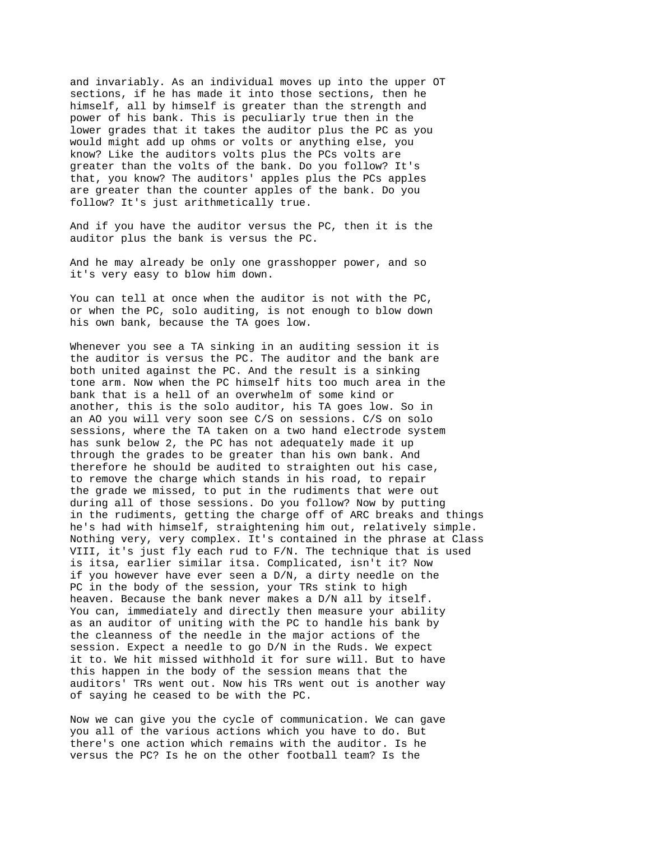and invariably. As an individual moves up into the upper OT sections, if he has made it into those sections, then he himself, all by himself is greater than the strength and power of his bank. This is peculiarly true then in the lower grades that it takes the auditor plus the PC as you would might add up ohms or volts or anything else, you know? Like the auditors volts plus the PCs volts are greater than the volts of the bank. Do you follow? It's that, you know? The auditors' apples plus the PCs apples are greater than the counter apples of the bank. Do you follow? It's just arithmetically true.

And if you have the auditor versus the PC, then it is the auditor plus the bank is versus the PC.

And he may already be only one grasshopper power, and so it's very easy to blow him down.

You can tell at once when the auditor is not with the PC, or when the PC, solo auditing, is not enough to blow down his own bank, because the TA goes low.

Whenever you see a TA sinking in an auditing session it is the auditor is versus the PC. The auditor and the bank are both united against the PC. And the result is a sinking tone arm. Now when the PC himself hits too much area in the bank that is a hell of an overwhelm of some kind or another, this is the solo auditor, his TA goes low. So in an AO you will very soon see C/S on sessions. C/S on solo sessions, where the TA taken on a two hand electrode system has sunk below 2, the PC has not adequately made it up through the grades to be greater than his own bank. And therefore he should be audited to straighten out his case, to remove the charge which stands in his road, to repair the grade we missed, to put in the rudiments that were out during all of those sessions. Do you follow? Now by putting in the rudiments, getting the charge off of ARC breaks and things he's had with himself, straightening him out, relatively simple. Nothing very, very complex. It's contained in the phrase at Class VIII, it's just fly each rud to F/N. The technique that is used is itsa, earlier similar itsa. Complicated, isn't it? Now if you however have ever seen a D/N, a dirty needle on the PC in the body of the session, your TRs stink to high heaven. Because the bank never makes a D/N all by itself. You can, immediately and directly then measure your ability as an auditor of uniting with the PC to handle his bank by the cleanness of the needle in the major actions of the session. Expect a needle to go D/N in the Ruds. We expect it to. We hit missed withhold it for sure will. But to have this happen in the body of the session means that the auditors' TRs went out. Now his TRs went out is another way of saying he ceased to be with the PC.

Now we can give you the cycle of communication. We can gave you all of the various actions which you have to do. But there's one action which remains with the auditor. Is he versus the PC? Is he on the other football team? Is the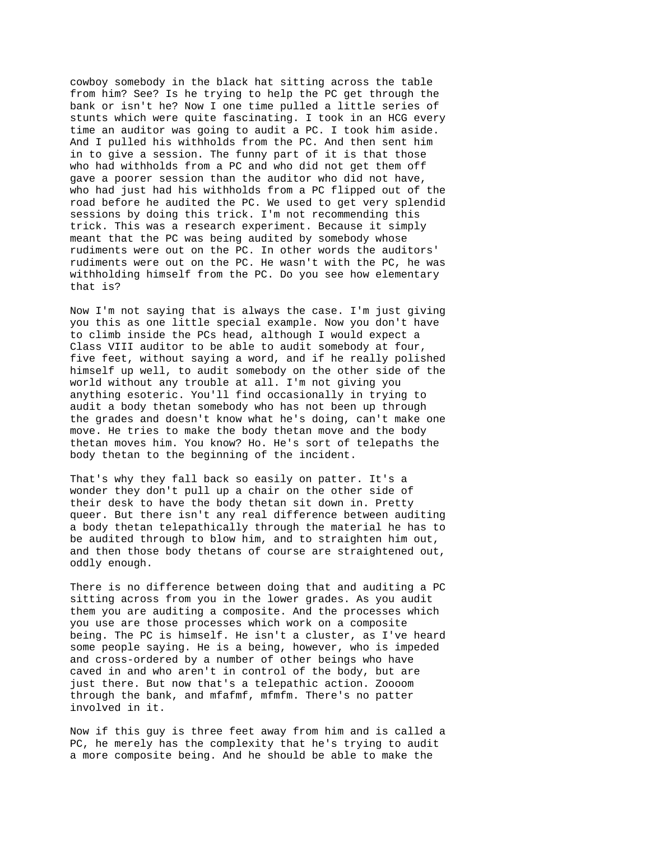cowboy somebody in the black hat sitting across the table from him? See? Is he trying to help the PC get through the bank or isn't he? Now I one time pulled a little series of stunts which were quite fascinating. I took in an HCG every time an auditor was going to audit a PC. I took him aside. And I pulled his withholds from the PC. And then sent him in to give a session. The funny part of it is that those who had withholds from a PC and who did not get them off gave a poorer session than the auditor who did not have, who had just had his withholds from a PC flipped out of the road before he audited the PC. We used to get very splendid sessions by doing this trick. I'm not recommending this trick. This was a research experiment. Because it simply meant that the PC was being audited by somebody whose rudiments were out on the PC. In other words the auditors' rudiments were out on the PC. He wasn't with the PC, he was withholding himself from the PC. Do you see how elementary that is?

Now I'm not saying that is always the case. I'm just giving you this as one little special example. Now you don't have to climb inside the PCs head, although I would expect a Class VIII auditor to be able to audit somebody at four, five feet, without saying a word, and if he really polished himself up well, to audit somebody on the other side of the world without any trouble at all. I'm not giving you anything esoteric. You'll find occasionally in trying to audit a body thetan somebody who has not been up through the grades and doesn't know what he's doing, can't make one move. He tries to make the body thetan move and the body thetan moves him. You know? Ho. He's sort of telepaths the body thetan to the beginning of the incident.

That's why they fall back so easily on patter. It's a wonder they don't pull up a chair on the other side of their desk to have the body thetan sit down in. Pretty queer. But there isn't any real difference between auditing a body thetan telepathically through the material he has to be audited through to blow him, and to straighten him out, and then those body thetans of course are straightened out, oddly enough.

There is no difference between doing that and auditing a PC sitting across from you in the lower grades. As you audit them you are auditing a composite. And the processes which you use are those processes which work on a composite being. The PC is himself. He isn't a cluster, as I've heard some people saying. He is a being, however, who is impeded and cross-ordered by a number of other beings who have caved in and who aren't in control of the body, but are just there. But now that's a telepathic action. Zoooom through the bank, and mfafmf, mfmfm. There's no patter involved in it.

Now if this guy is three feet away from him and is called a PC, he merely has the complexity that he's trying to audit a more composite being. And he should be able to make the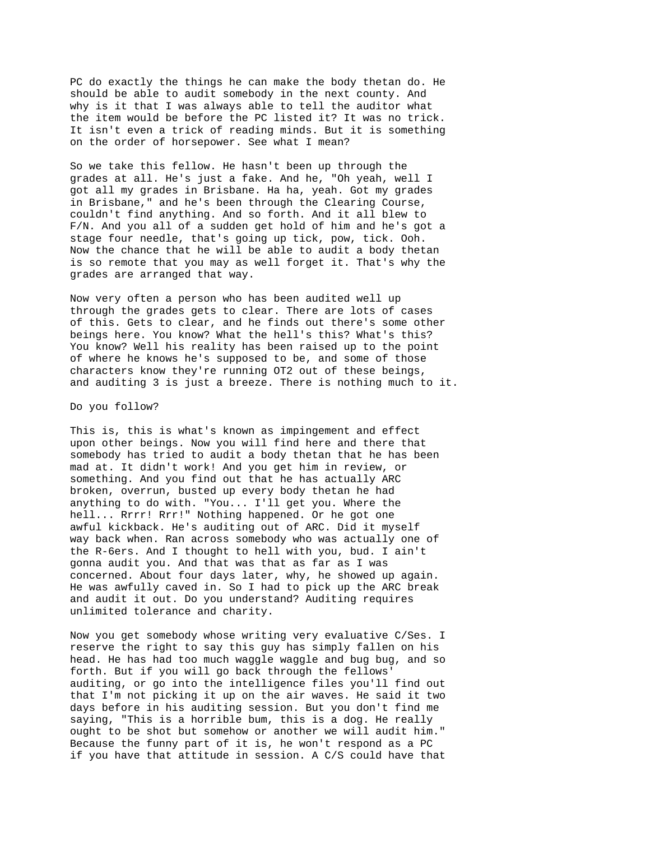PC do exactly the things he can make the body thetan do. He should be able to audit somebody in the next county. And why is it that I was always able to tell the auditor what the item would be before the PC listed it? It was no trick. It isn't even a trick of reading minds. But it is something on the order of horsepower. See what I mean?

So we take this fellow. He hasn't been up through the grades at all. He's just a fake. And he, "Oh yeah, well I got all my grades in Brisbane. Ha ha, yeah. Got my grades in Brisbane," and he's been through the Clearing Course, couldn't find anything. And so forth. And it all blew to F/N. And you all of a sudden get hold of him and he's got a stage four needle, that's going up tick, pow, tick. Ooh. Now the chance that he will be able to audit a body thetan is so remote that you may as well forget it. That's why the grades are arranged that way.

Now very often a person who has been audited well up through the grades gets to clear. There are lots of cases of this. Gets to clear, and he finds out there's some other beings here. You know? What the hell's this? What's this? You know? Well his reality has been raised up to the point of where he knows he's supposed to be, and some of those characters know they're running OT2 out of these beings, and auditing 3 is just a breeze. There is nothing much to it.

Do you follow?

This is, this is what's known as impingement and effect upon other beings. Now you will find here and there that somebody has tried to audit a body thetan that he has been mad at. It didn't work! And you get him in review, or something. And you find out that he has actually ARC broken, overrun, busted up every body thetan he had anything to do with. "You... I'll get you. Where the hell... Rrrr! Rrr!" Nothing happened. Or he got one awful kickback. He's auditing out of ARC. Did it myself way back when. Ran across somebody who was actually one of the R-6ers. And I thought to hell with you, bud. I ain't gonna audit you. And that was that as far as I was concerned. About four days later, why, he showed up again. He was awfully caved in. So I had to pick up the ARC break and audit it out. Do you understand? Auditing requires unlimited tolerance and charity.

Now you get somebody whose writing very evaluative C/Ses. I reserve the right to say this guy has simply fallen on his head. He has had too much waggle waggle and bug bug, and so forth. But if you will go back through the fellows' auditing, or go into the intelligence files you'll find out that I'm not picking it up on the air waves. He said it two days before in his auditing session. But you don't find me saying, "This is a horrible bum, this is a dog. He really ought to be shot but somehow or another we will audit him." Because the funny part of it is, he won't respond as a PC if you have that attitude in session. A C/S could have that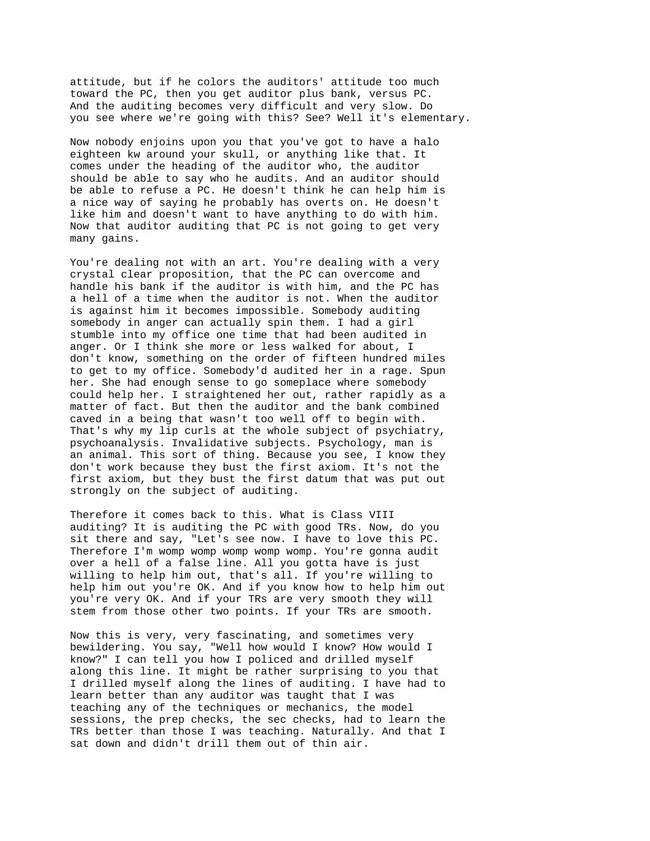attitude, but if he colors the auditors' attitude too much toward the PC, then you get auditor plus bank, versus PC. And the auditing becomes very difficult and very slow. Do you see where we're going with this? See? Well it's elementary.

Now nobody enjoins upon you that you've got to have a halo eighteen kw around your skull, or anything like that. It comes under the heading of the auditor who, the auditor should be able to say who he audits. And an auditor should be able to refuse a PC. He doesn't think he can help him is a nice way of saying he probably has overts on. He doesn't like him and doesn't want to have anything to do with him. Now that auditor auditing that PC is not going to get very many gains.

You're dealing not with an art. You're dealing with a very crystal clear proposition, that the PC can overcome and handle his bank if the auditor is with him, and the PC has a hell of a time when the auditor is not. When the auditor is against him it becomes impossible. Somebody auditing somebody in anger can actually spin them. I had a girl stumble into my office one time that had been audited in anger. Or I think she more or less walked for about, I don't know, something on the order of fifteen hundred miles to get to my office. Somebody'd audited her in a rage. Spun her. She had enough sense to go someplace where somebody could help her. I straightened her out, rather rapidly as a matter of fact. But then the auditor and the bank combined caved in a being that wasn't too well off to begin with. That's why my lip curls at the whole subject of psychiatry, psychoanalysis. Invalidative subjects. Psychology, man is an animal. This sort of thing. Because you see, I know they don't work because they bust the first axiom. It's not the first axiom, but they bust the first datum that was put out strongly on the subject of auditing.

Therefore it comes back to this. What is Class VIII auditing? It is auditing the PC with good TRs. Now, do you sit there and say, "Let's see now. I have to love this PC. Therefore I'm womp womp womp womp womp. You're gonna audit over a hell of a false line. All you gotta have is just willing to help him out, that's all. If you're willing to help him out you're OK. And if you know how to help him out you're very OK. And if your TRs are very smooth they will stem from those other two points. If your TRs are smooth.

Now this is very, very fascinating, and sometimes very bewildering. You say, "Well how would I know? How would I know?" I can tell you how I policed and drilled myself along this line. It might be rather surprising to you that I drilled myself along the lines of auditing. I have had to learn better than any auditor was taught that I was teaching any of the techniques or mechanics, the model sessions, the prep checks, the sec checks, had to learn the TRs better than those I was teaching. Naturally. And that I sat down and didn't drill them out of thin air.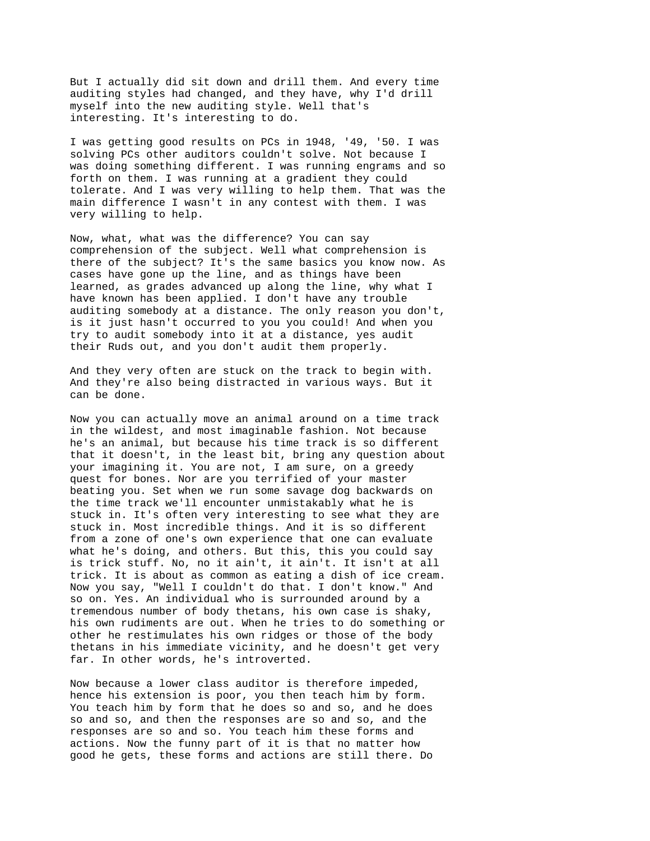But I actually did sit down and drill them. And every time auditing styles had changed, and they have, why I'd drill myself into the new auditing style. Well that's interesting. It's interesting to do.

I was getting good results on PCs in 1948, '49, '50. I was solving PCs other auditors couldn't solve. Not because I was doing something different. I was running engrams and so forth on them. I was running at a gradient they could tolerate. And I was very willing to help them. That was the main difference I wasn't in any contest with them. I was very willing to help.

Now, what, what was the difference? You can say comprehension of the subject. Well what comprehension is there of the subject? It's the same basics you know now. As cases have gone up the line, and as things have been learned, as grades advanced up along the line, why what I have known has been applied. I don't have any trouble auditing somebody at a distance. The only reason you don't, is it just hasn't occurred to you you could! And when you try to audit somebody into it at a distance, yes audit their Ruds out, and you don't audit them properly.

And they very often are stuck on the track to begin with. And they're also being distracted in various ways. But it can be done.

Now you can actually move an animal around on a time track in the wildest, and most imaginable fashion. Not because he's an animal, but because his time track is so different that it doesn't, in the least bit, bring any question about your imagining it. You are not, I am sure, on a greedy quest for bones. Nor are you terrified of your master beating you. Set when we run some savage dog backwards on the time track we'll encounter unmistakably what he is stuck in. It's often very interesting to see what they are stuck in. Most incredible things. And it is so different from a zone of one's own experience that one can evaluate what he's doing, and others. But this, this you could say is trick stuff. No, no it ain't, it ain't. It isn't at all trick. It is about as common as eating a dish of ice cream. Now you say, "Well I couldn't do that. I don't know." And so on. Yes. An individual who is surrounded around by a tremendous number of body thetans, his own case is shaky, his own rudiments are out. When he tries to do something or other he restimulates his own ridges or those of the body thetans in his immediate vicinity, and he doesn't get very far. In other words, he's introverted.

Now because a lower class auditor is therefore impeded, hence his extension is poor, you then teach him by form. You teach him by form that he does so and so, and he does so and so, and then the responses are so and so, and the responses are so and so. You teach him these forms and actions. Now the funny part of it is that no matter how good he gets, these forms and actions are still there. Do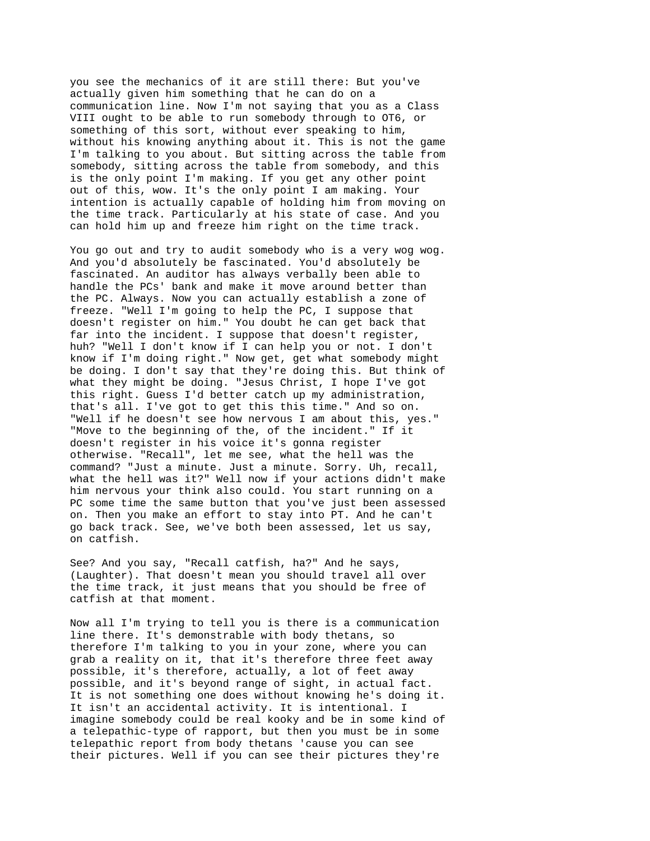you see the mechanics of it are still there: But you've actually given him something that he can do on a communication line. Now I'm not saying that you as a Class VIII ought to be able to run somebody through to OT6, or something of this sort, without ever speaking to him, without his knowing anything about it. This is not the game I'm talking to you about. But sitting across the table from somebody, sitting across the table from somebody, and this is the only point I'm making. If you get any other point out of this, wow. It's the only point I am making. Your intention is actually capable of holding him from moving on the time track. Particularly at his state of case. And you can hold him up and freeze him right on the time track.

You go out and try to audit somebody who is a very wog wog. And you'd absolutely be fascinated. You'd absolutely be fascinated. An auditor has always verbally been able to handle the PCs' bank and make it move around better than the PC. Always. Now you can actually establish a zone of freeze. "Well I'm going to help the PC, I suppose that doesn't register on him." You doubt he can get back that far into the incident. I suppose that doesn't register, huh? "Well I don't know if I can help you or not. I don't know if I'm doing right." Now get, get what somebody might be doing. I don't say that they're doing this. But think of what they might be doing. "Jesus Christ, I hope I've got this right. Guess I'd better catch up my administration, that's all. I've got to get this this time." And so on. "Well if he doesn't see how nervous I am about this, yes." "Move to the beginning of the, of the incident." If it doesn't register in his voice it's gonna register otherwise. "Recall", let me see, what the hell was the command? "Just a minute. Just a minute. Sorry. Uh, recall, what the hell was it?" Well now if your actions didn't make him nervous your think also could. You start running on a PC some time the same button that you've just been assessed on. Then you make an effort to stay into PT. And he can't go back track. See, we've both been assessed, let us say, on catfish.

See? And you say, "Recall catfish, ha?" And he says, (Laughter). That doesn't mean you should travel all over the time track, it just means that you should be free of catfish at that moment.

Now all I'm trying to tell you is there is a communication line there. It's demonstrable with body thetans, so therefore I'm talking to you in your zone, where you can grab a reality on it, that it's therefore three feet away possible, it's therefore, actually, a lot of feet away possible, and it's beyond range of sight, in actual fact. It is not something one does without knowing he's doing it. It isn't an accidental activity. It is intentional. I imagine somebody could be real kooky and be in some kind of a telepathic-type of rapport, but then you must be in some telepathic report from body thetans 'cause you can see their pictures. Well if you can see their pictures they're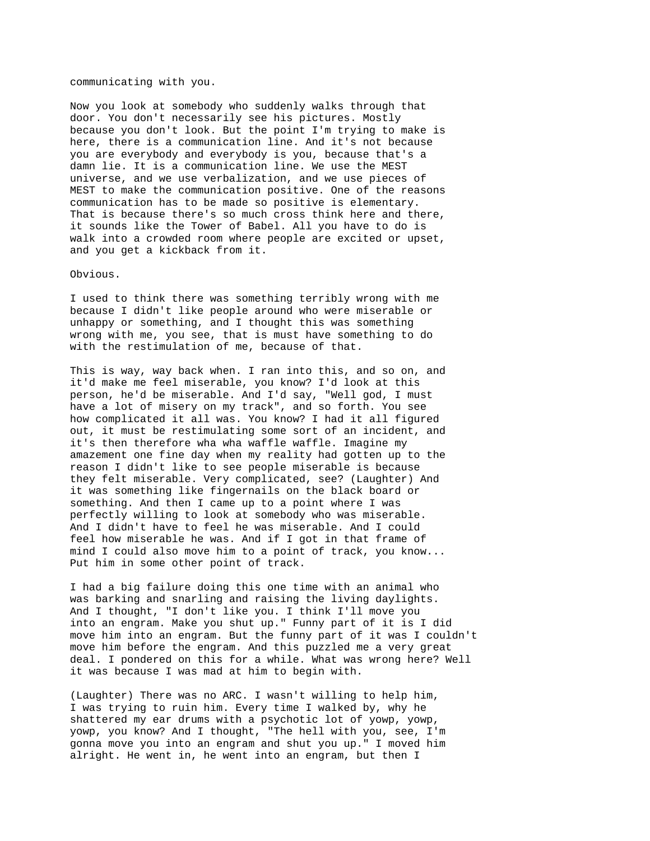## communicating with you.

Now you look at somebody who suddenly walks through that door. You don't necessarily see his pictures. Mostly because you don't look. But the point I'm trying to make is here, there is a communication line. And it's not because you are everybody and everybody is you, because that's a damn lie. It is a communication line. We use the MEST universe, and we use verbalization, and we use pieces of MEST to make the communication positive. One of the reasons communication has to be made so positive is elementary. That is because there's so much cross think here and there, it sounds like the Tower of Babel. All you have to do is walk into a crowded room where people are excited or upset, and you get a kickback from it.

## Obvious.

I used to think there was something terribly wrong with me because I didn't like people around who were miserable or unhappy or something, and I thought this was something wrong with me, you see, that is must have something to do with the restimulation of me, because of that.

This is way, way back when. I ran into this, and so on, and it'd make me feel miserable, you know? I'd look at this person, he'd be miserable. And I'd say, "Well god, I must have a lot of misery on my track", and so forth. You see how complicated it all was. You know? I had it all figured out, it must be restimulating some sort of an incident, and it's then therefore wha wha waffle waffle. Imagine my amazement one fine day when my reality had gotten up to the reason I didn't like to see people miserable is because they felt miserable. Very complicated, see? (Laughter) And it was something like fingernails on the black board or something. And then I came up to a point where I was perfectly willing to look at somebody who was miserable. And I didn't have to feel he was miserable. And I could feel how miserable he was. And if I got in that frame of mind I could also move him to a point of track, you know... Put him in some other point of track.

I had a big failure doing this one time with an animal who was barking and snarling and raising the living daylights. And I thought, "I don't like you. I think I'll move you into an engram. Make you shut up." Funny part of it is I did move him into an engram. But the funny part of it was I couldn't move him before the engram. And this puzzled me a very great deal. I pondered on this for a while. What was wrong here? Well it was because I was mad at him to begin with.

(Laughter) There was no ARC. I wasn't willing to help him, I was trying to ruin him. Every time I walked by, why he shattered my ear drums with a psychotic lot of yowp, yowp, yowp, you know? And I thought, "The hell with you, see, I'm gonna move you into an engram and shut you up." I moved him alright. He went in, he went into an engram, but then I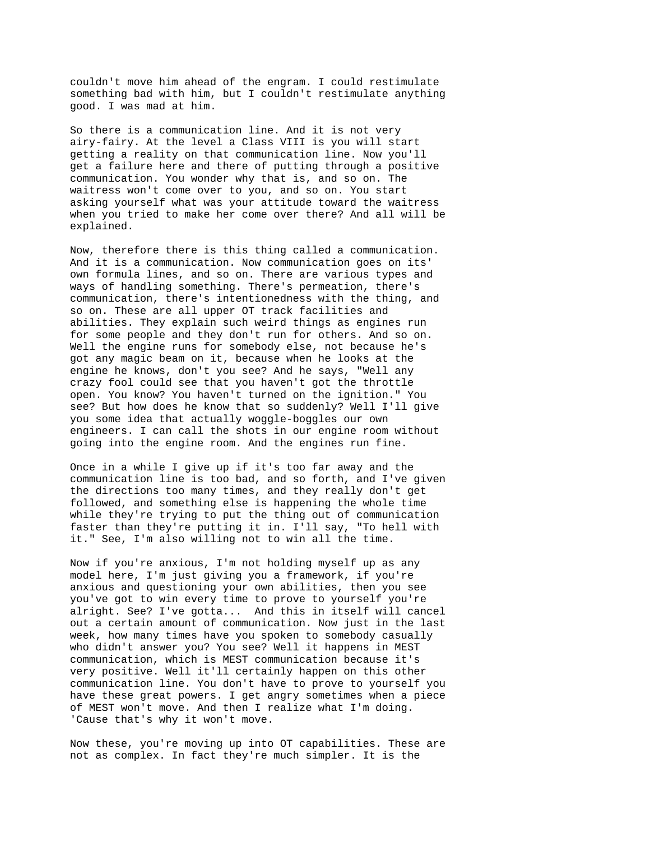couldn't move him ahead of the engram. I could restimulate something bad with him, but I couldn't restimulate anything good. I was mad at him.

So there is a communication line. And it is not very airy-fairy. At the level a Class VIII is you will start getting a reality on that communication line. Now you'll get a failure here and there of putting through a positive communication. You wonder why that is, and so on. The waitress won't come over to you, and so on. You start asking yourself what was your attitude toward the waitress when you tried to make her come over there? And all will be explained.

Now, therefore there is this thing called a communication. And it is a communication. Now communication goes on its' own formula lines, and so on. There are various types and ways of handling something. There's permeation, there's communication, there's intentionedness with the thing, and so on. These are all upper OT track facilities and abilities. They explain such weird things as engines run for some people and they don't run for others. And so on. Well the engine runs for somebody else, not because he's got any magic beam on it, because when he looks at the engine he knows, don't you see? And he says, "Well any crazy fool could see that you haven't got the throttle open. You know? You haven't turned on the ignition." You see? But how does he know that so suddenly? Well I'll give you some idea that actually woggle-boggles our own engineers. I can call the shots in our engine room without going into the engine room. And the engines run fine.

Once in a while I give up if it's too far away and the communication line is too bad, and so forth, and I've given the directions too many times, and they really don't get followed, and something else is happening the whole time while they're trying to put the thing out of communication faster than they're putting it in. I'll say, "To hell with it." See, I'm also willing not to win all the time.

Now if you're anxious, I'm not holding myself up as any model here, I'm just giving you a framework, if you're anxious and questioning your own abilities, then you see you've got to win every time to prove to yourself you're alright. See? I've gotta... And this in itself will cancel out a certain amount of communication. Now just in the last week, how many times have you spoken to somebody casually who didn't answer you? You see? Well it happens in MEST communication, which is MEST communication because it's very positive. Well it'll certainly happen on this other communication line. You don't have to prove to yourself you have these great powers. I get angry sometimes when a piece of MEST won't move. And then I realize what I'm doing. 'Cause that's why it won't move.

Now these, you're moving up into OT capabilities. These are not as complex. In fact they're much simpler. It is the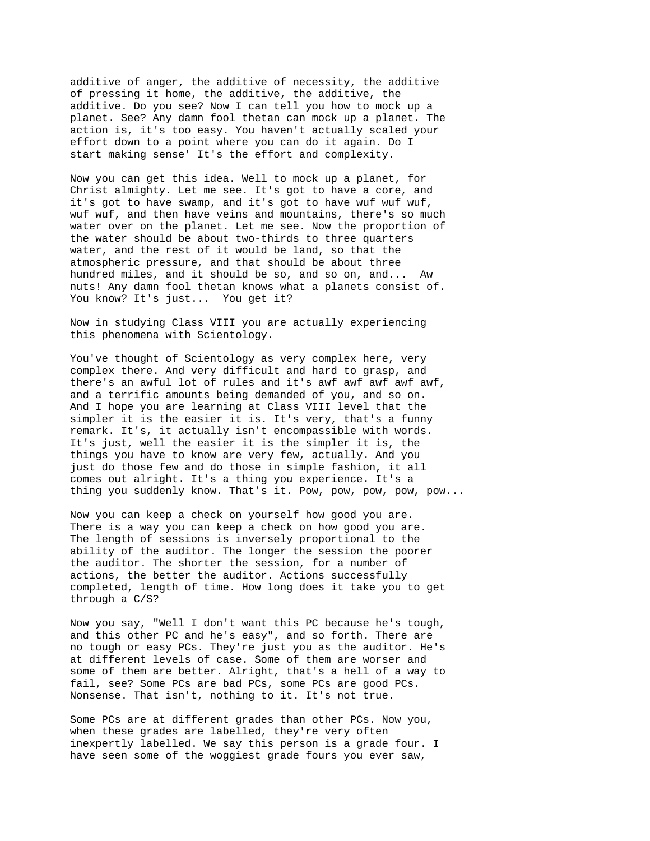additive of anger, the additive of necessity, the additive of pressing it home, the additive, the additive, the additive. Do you see? Now I can tell you how to mock up a planet. See? Any damn fool thetan can mock up a planet. The action is, it's too easy. You haven't actually scaled your effort down to a point where you can do it again. Do I start making sense' It's the effort and complexity.

Now you can get this idea. Well to mock up a planet, for Christ almighty. Let me see. It's got to have a core, and it's got to have swamp, and it's got to have wuf wuf wuf, wuf wuf, and then have veins and mountains, there's so much water over on the planet. Let me see. Now the proportion of the water should be about two-thirds to three quarters water, and the rest of it would be land, so that the atmospheric pressure, and that should be about three hundred miles, and it should be so, and so on, and... Aw nuts! Any damn fool thetan knows what a planets consist of. You know? It's just... You get it?

Now in studying Class VIII you are actually experiencing this phenomena with Scientology.

You've thought of Scientology as very complex here, very complex there. And very difficult and hard to grasp, and there's an awful lot of rules and it's awf awf awf awf awf, and a terrific amounts being demanded of you, and so on. And I hope you are learning at Class VIII level that the simpler it is the easier it is. It's very, that's a funny remark. It's, it actually isn't encompassible with words. It's just, well the easier it is the simpler it is, the things you have to know are very few, actually. And you just do those few and do those in simple fashion, it all comes out alright. It's a thing you experience. It's a thing you suddenly know. That's it. Pow, pow, pow, pow, pow...

Now you can keep a check on yourself how good you are. There is a way you can keep a check on how good you are. The length of sessions is inversely proportional to the ability of the auditor. The longer the session the poorer the auditor. The shorter the session, for a number of actions, the better the auditor. Actions successfully completed, length of time. How long does it take you to get through a C/S?

Now you say, "Well I don't want this PC because he's tough, and this other PC and he's easy", and so forth. There are no tough or easy PCs. They're just you as the auditor. He's at different levels of case. Some of them are worser and some of them are better. Alright, that's a hell of a way to fail, see? Some PCs are bad PCs, some PCs are good PCs. Nonsense. That isn't, nothing to it. It's not true.

Some PCs are at different grades than other PCs. Now you, when these grades are labelled, they're very often inexpertly labelled. We say this person is a grade four. I have seen some of the woggiest grade fours you ever saw,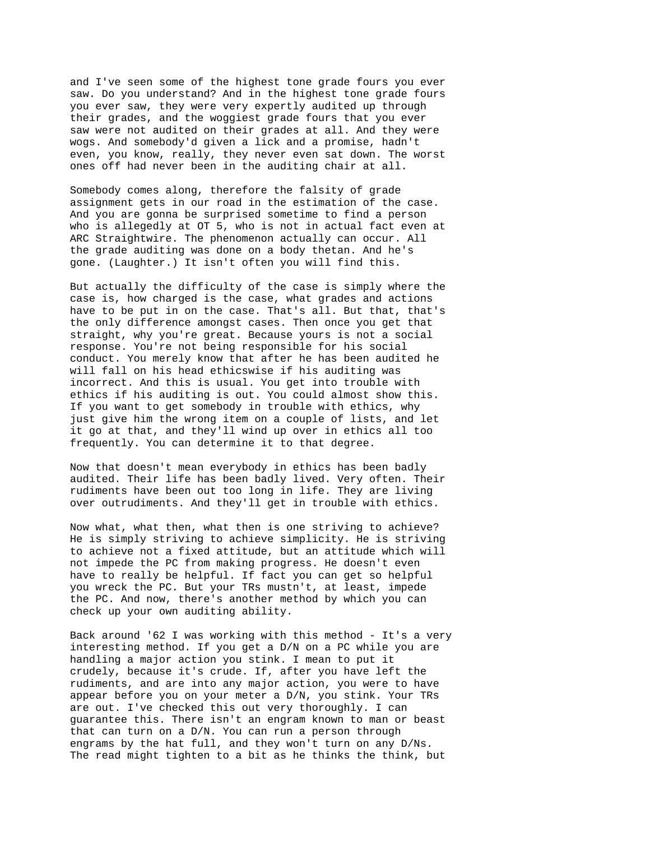and I've seen some of the highest tone grade fours you ever saw. Do you understand? And in the highest tone grade fours you ever saw, they were very expertly audited up through their grades, and the woggiest grade fours that you ever saw were not audited on their grades at all. And they were wogs. And somebody'd given a lick and a promise, hadn't even, you know, really, they never even sat down. The worst ones off had never been in the auditing chair at all.

Somebody comes along, therefore the falsity of grade assignment gets in our road in the estimation of the case. And you are gonna be surprised sometime to find a person who is allegedly at OT 5, who is not in actual fact even at ARC Straightwire. The phenomenon actually can occur. All the grade auditing was done on a body thetan. And he's gone. (Laughter.) It isn't often you will find this.

But actually the difficulty of the case is simply where the case is, how charged is the case, what grades and actions have to be put in on the case. That's all. But that, that's the only difference amongst cases. Then once you get that straight, why you're great. Because yours is not a social response. You're not being responsible for his social conduct. You merely know that after he has been audited he will fall on his head ethicswise if his auditing was incorrect. And this is usual. You get into trouble with ethics if his auditing is out. You could almost show this. If you want to get somebody in trouble with ethics, why just give him the wrong item on a couple of lists, and let it go at that, and they'll wind up over in ethics all too frequently. You can determine it to that degree.

Now that doesn't mean everybody in ethics has been badly audited. Their life has been badly lived. Very often. Their rudiments have been out too long in life. They are living over outrudiments. And they'll get in trouble with ethics.

Now what, what then, what then is one striving to achieve? He is simply striving to achieve simplicity. He is striving to achieve not a fixed attitude, but an attitude which will not impede the PC from making progress. He doesn't even have to really be helpful. If fact you can get so helpful you wreck the PC. But your TRs mustn't, at least, impede the PC. And now, there's another method by which you can check up your own auditing ability.

Back around '62 I was working with this method - It's a very interesting method. If you get a D/N on a PC while you are handling a major action you stink. I mean to put it crudely, because it's crude. If, after you have left the rudiments, and are into any major action, you were to have appear before you on your meter a D/N, you stink. Your TRs are out. I've checked this out very thoroughly. I can guarantee this. There isn't an engram known to man or beast that can turn on a D/N. You can run a person through engrams by the hat full, and they won't turn on any D/Ns. The read might tighten to a bit as he thinks the think, but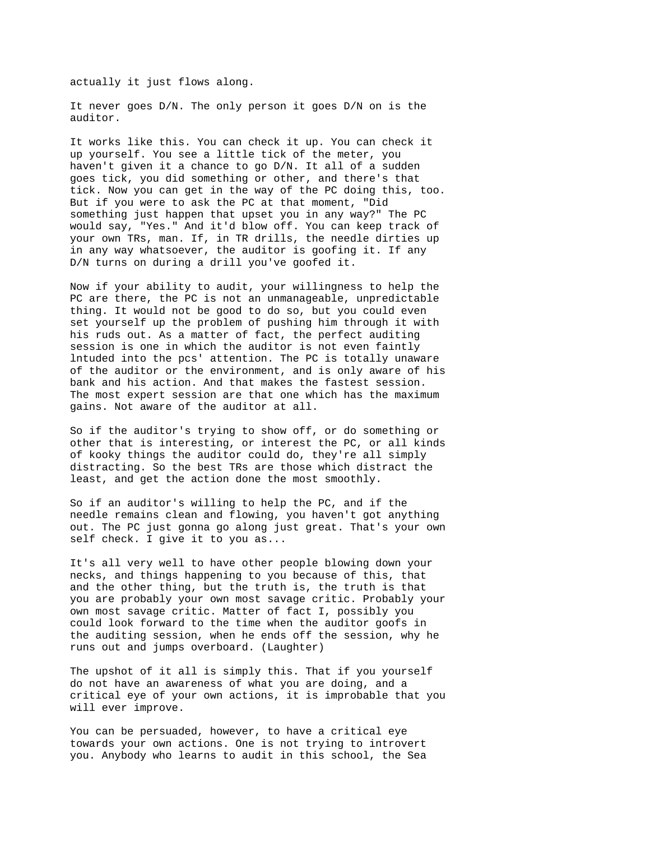actually it just flows along.

It never goes D/N. The only person it goes D/N on is the auditor.

It works like this. You can check it up. You can check it up yourself. You see a little tick of the meter, you haven't given it a chance to go D/N. It all of a sudden goes tick, you did something or other, and there's that tick. Now you can get in the way of the PC doing this, too. But if you were to ask the PC at that moment, "Did something just happen that upset you in any way?" The PC would say, "Yes." And it'd blow off. You can keep track of your own TRs, man. If, in TR drills, the needle dirties up in any way whatsoever, the auditor is goofing it. If any D/N turns on during a drill you've goofed it.

Now if your ability to audit, your willingness to help the PC are there, the PC is not an unmanageable, unpredictable thing. It would not be good to do so, but you could even set yourself up the problem of pushing him through it with his ruds out. As a matter of fact, the perfect auditing session is one in which the auditor is not even faintly lntuded into the pcs' attention. The PC is totally unaware of the auditor or the environment, and is only aware of his bank and his action. And that makes the fastest session. The most expert session are that one which has the maximum gains. Not aware of the auditor at all.

So if the auditor's trying to show off, or do something or other that is interesting, or interest the PC, or all kinds of kooky things the auditor could do, they're all simply distracting. So the best TRs are those which distract the least, and get the action done the most smoothly.

So if an auditor's willing to help the PC, and if the needle remains clean and flowing, you haven't got anything out. The PC just gonna go along just great. That's your own self check. I give it to you as...

It's all very well to have other people blowing down your necks, and things happening to you because of this, that and the other thing, but the truth is, the truth is that you are probably your own most savage critic. Probably your own most savage critic. Matter of fact I, possibly you could look forward to the time when the auditor goofs in the auditing session, when he ends off the session, why he runs out and jumps overboard. (Laughter)

The upshot of it all is simply this. That if you yourself do not have an awareness of what you are doing, and a critical eye of your own actions, it is improbable that you will ever improve.

You can be persuaded, however, to have a critical eye towards your own actions. One is not trying to introvert you. Anybody who learns to audit in this school, the Sea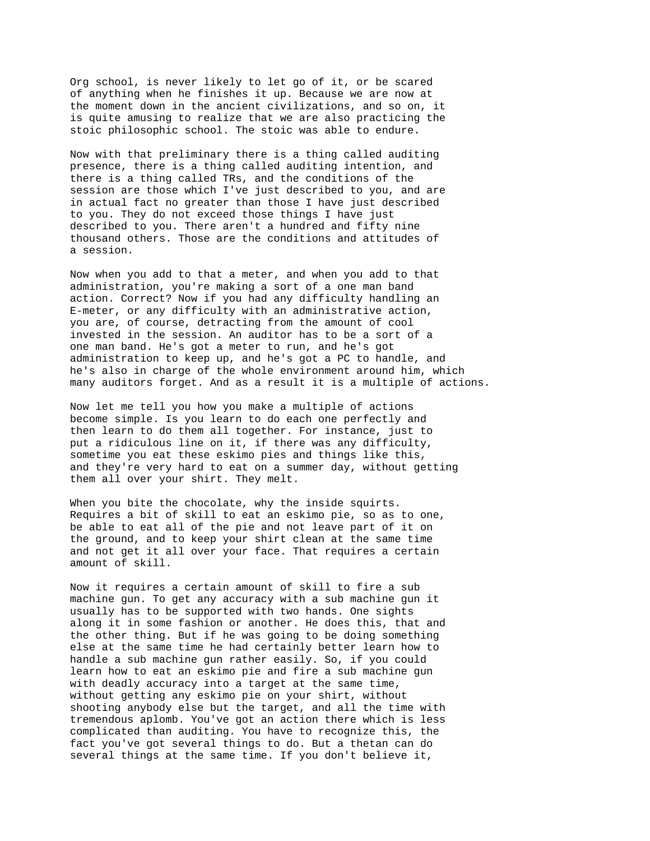Org school, is never likely to let go of it, or be scared of anything when he finishes it up. Because we are now at the moment down in the ancient civilizations, and so on, it is quite amusing to realize that we are also practicing the stoic philosophic school. The stoic was able to endure.

Now with that preliminary there is a thing called auditing presence, there is a thing called auditing intention, and there is a thing called TRs, and the conditions of the session are those which I've just described to you, and are in actual fact no greater than those I have just described to you. They do not exceed those things I have just described to you. There aren't a hundred and fifty nine thousand others. Those are the conditions and attitudes of a session.

Now when you add to that a meter, and when you add to that administration, you're making a sort of a one man band action. Correct? Now if you had any difficulty handling an E-meter, or any difficulty with an administrative action, you are, of course, detracting from the amount of cool invested in the session. An auditor has to be a sort of a one man band. He's got a meter to run, and he's got administration to keep up, and he's got a PC to handle, and he's also in charge of the whole environment around him, which many auditors forget. And as a result it is a multiple of actions.

Now let me tell you how you make a multiple of actions become simple. Is you learn to do each one perfectly and then learn to do them all together. For instance, just to put a ridiculous line on it, if there was any difficulty, sometime you eat these eskimo pies and things like this, and they're very hard to eat on a summer day, without getting them all over your shirt. They melt.

When you bite the chocolate, why the inside squirts. Requires a bit of skill to eat an eskimo pie, so as to one, be able to eat all of the pie and not leave part of it on the ground, and to keep your shirt clean at the same time and not get it all over your face. That requires a certain amount of skill.

Now it requires a certain amount of skill to fire a sub machine gun. To get any accuracy with a sub machine gun it usually has to be supported with two hands. One sights along it in some fashion or another. He does this, that and the other thing. But if he was going to be doing something else at the same time he had certainly better learn how to handle a sub machine gun rather easily. So, if you could learn how to eat an eskimo pie and fire a sub machine gun with deadly accuracy into a target at the same time, without getting any eskimo pie on your shirt, without shooting anybody else but the target, and all the time with tremendous aplomb. You've got an action there which is less complicated than auditing. You have to recognize this, the fact you've got several things to do. But a thetan can do several things at the same time. If you don't believe it,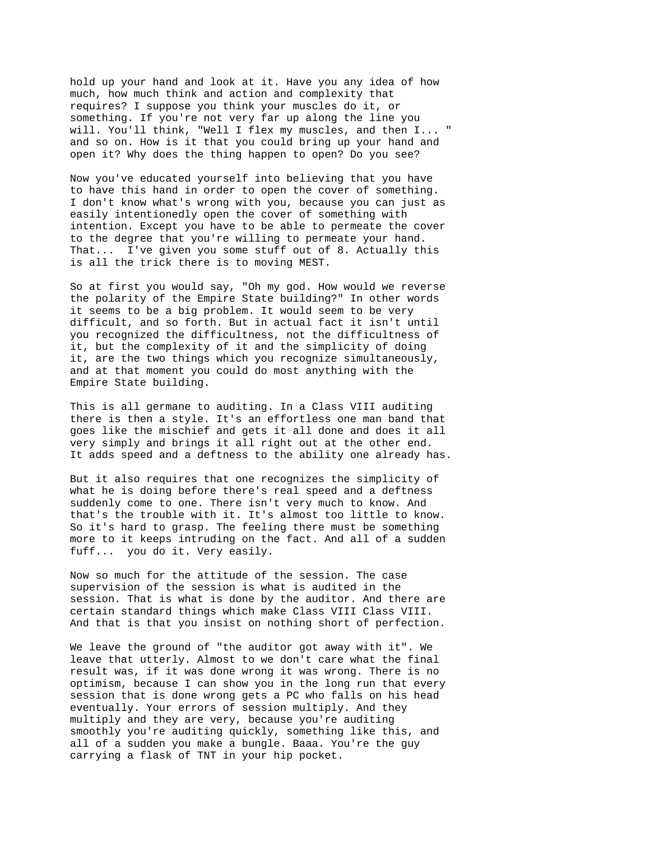hold up your hand and look at it. Have you any idea of how much, how much think and action and complexity that requires? I suppose you think your muscles do it, or something. If you're not very far up along the line you will. You'll think, "Well I flex my muscles, and then I... " and so on. How is it that you could bring up your hand and open it? Why does the thing happen to open? Do you see?

Now you've educated yourself into believing that you have to have this hand in order to open the cover of something. I don't know what's wrong with you, because you can just as easily intentionedly open the cover of something with intention. Except you have to be able to permeate the cover to the degree that you're willing to permeate your hand. That... I've given you some stuff out of 8. Actually this is all the trick there is to moving MEST.

So at first you would say, "Oh my god. How would we reverse the polarity of the Empire State building?" In other words it seems to be a big problem. It would seem to be very difficult, and so forth. But in actual fact it isn't until you recognized the difficultness, not the difficultness of it, but the complexity of it and the simplicity of doing it, are the two things which you recognize simultaneously, and at that moment you could do most anything with the Empire State building.

This is all germane to auditing. In a Class VIII auditing there is then a style. It's an effortless one man band that goes like the mischief and gets it all done and does it all very simply and brings it all right out at the other end. It adds speed and a deftness to the ability one already has.

But it also requires that one recognizes the simplicity of what he is doing before there's real speed and a deftness suddenly come to one. There isn't very much to know. And that's the trouble with it. It's almost too little to know. So it's hard to grasp. The feeling there must be something more to it keeps intruding on the fact. And all of a sudden fuff... you do it. Very easily.

Now so much for the attitude of the session. The case supervision of the session is what is audited in the session. That is what is done by the auditor. And there are certain standard things which make Class VIII Class VIII. And that is that you insist on nothing short of perfection.

We leave the ground of "the auditor got away with it". We leave that utterly. Almost to we don't care what the final result was, if it was done wrong it was wrong. There is no optimism, because I can show you in the long run that every session that is done wrong gets a PC who falls on his head eventually. Your errors of session multiply. And they multiply and they are very, because you're auditing smoothly you're auditing quickly, something like this, and all of a sudden you make a bungle. Baaa. You're the guy carrying a flask of TNT in your hip pocket.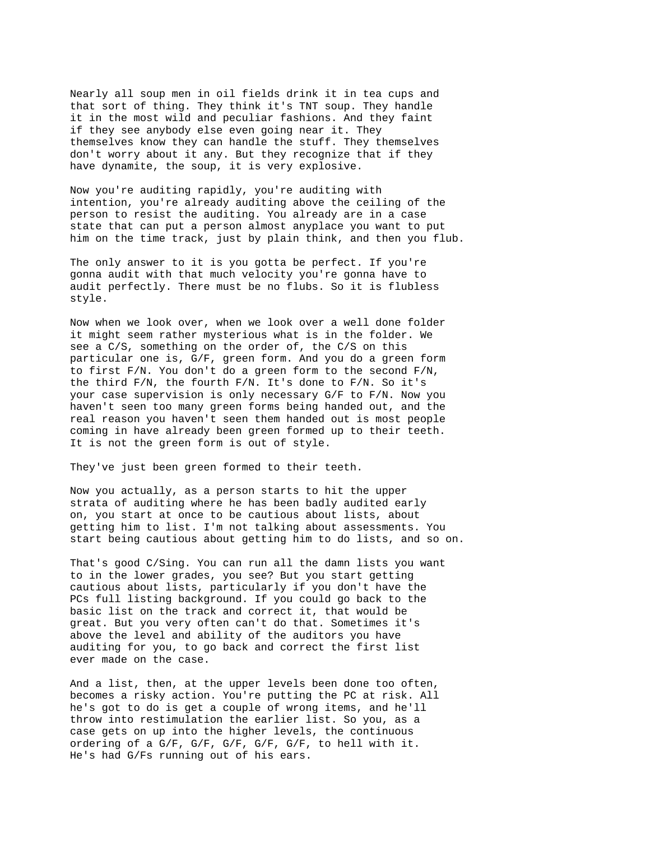Nearly all soup men in oil fields drink it in tea cups and that sort of thing. They think it's TNT soup. They handle it in the most wild and peculiar fashions. And they faint if they see anybody else even going near it. They themselves know they can handle the stuff. They themselves don't worry about it any. But they recognize that if they have dynamite, the soup, it is very explosive.

Now you're auditing rapidly, you're auditing with intention, you're already auditing above the ceiling of the person to resist the auditing. You already are in a case state that can put a person almost anyplace you want to put him on the time track, just by plain think, and then you flub.

The only answer to it is you gotta be perfect. If you're gonna audit with that much velocity you're gonna have to audit perfectly. There must be no flubs. So it is flubless style.

Now when we look over, when we look over a well done folder it might seem rather mysterious what is in the folder. We see a C/S, something on the order of, the C/S on this particular one is, G/F, green form. And you do a green form to first F/N. You don't do a green form to the second F/N, the third F/N, the fourth F/N. It's done to F/N. So it's your case supervision is only necessary G/F to F/N. Now you haven't seen too many green forms being handed out, and the real reason you haven't seen them handed out is most people coming in have already been green formed up to their teeth. It is not the green form is out of style.

They've just been green formed to their teeth.

Now you actually, as a person starts to hit the upper strata of auditing where he has been badly audited early on, you start at once to be cautious about lists, about getting him to list. I'm not talking about assessments. You start being cautious about getting him to do lists, and so on.

That's good C/Sing. You can run all the damn lists you want to in the lower grades, you see? But you start getting cautious about lists, particularly if you don't have the PCs full listing background. If you could go back to the basic list on the track and correct it, that would be great. But you very often can't do that. Sometimes it's above the level and ability of the auditors you have auditing for you, to go back and correct the first list ever made on the case.

And a list, then, at the upper levels been done too often, becomes a risky action. You're putting the PC at risk. All he's got to do is get a couple of wrong items, and he'll throw into restimulation the earlier list. So you, as a case gets on up into the higher levels, the continuous ordering of a G/F, G/F, G/F, G/F, G/F, to hell with it. He's had G/Fs running out of his ears.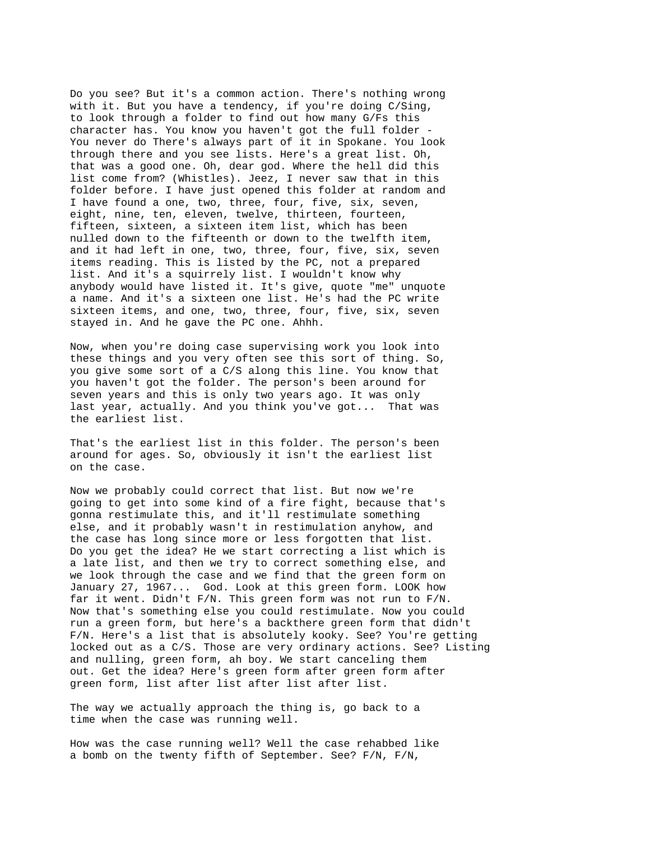Do you see? But it's a common action. There's nothing wrong with it. But you have a tendency, if you're doing C/Sing, to look through a folder to find out how many G/Fs this character has. You know you haven't got the full folder - You never do There's always part of it in Spokane. You look through there and you see lists. Here's a great list. Oh, that was a good one. Oh, dear god. Where the hell did this list come from? (Whistles). Jeez, I never saw that in this folder before. I have just opened this folder at random and I have found a one, two, three, four, five, six, seven, eight, nine, ten, eleven, twelve, thirteen, fourteen, fifteen, sixteen, a sixteen item list, which has been nulled down to the fifteenth or down to the twelfth item, and it had left in one, two, three, four, five, six, seven items reading. This is listed by the PC, not a prepared list. And it's a squirrely list. I wouldn't know why anybody would have listed it. It's give, quote "me" unquote a name. And it's a sixteen one list. He's had the PC write sixteen items, and one, two, three, four, five, six, seven stayed in. And he gave the PC one. Ahhh.

Now, when you're doing case supervising work you look into these things and you very often see this sort of thing. So, you give some sort of a C/S along this line. You know that you haven't got the folder. The person's been around for seven years and this is only two years ago. It was only last year, actually. And you think you've got... That was the earliest list.

That's the earliest list in this folder. The person's been around for ages. So, obviously it isn't the earliest list on the case.

Now we probably could correct that list. But now we're going to get into some kind of a fire fight, because that's gonna restimulate this, and it'll restimulate something else, and it probably wasn't in restimulation anyhow, and the case has long since more or less forgotten that list. Do you get the idea? He we start correcting a list which is a late list, and then we try to correct something else, and we look through the case and we find that the green form on January 27, 1967... God. Look at this green form. LOOK how far it went. Didn't F/N. This green form was not run to F/N. Now that's something else you could restimulate. Now you could run a green form, but here's a backthere green form that didn't F/N. Here's a list that is absolutely kooky. See? You're getting locked out as a C/S. Those are very ordinary actions. See? Listing and nulling, green form, ah boy. We start canceling them out. Get the idea? Here's green form after green form after green form, list after list after list after list.

The way we actually approach the thing is, go back to a time when the case was running well.

How was the case running well? Well the case rehabbed like a bomb on the twenty fifth of September. See? F/N, F/N,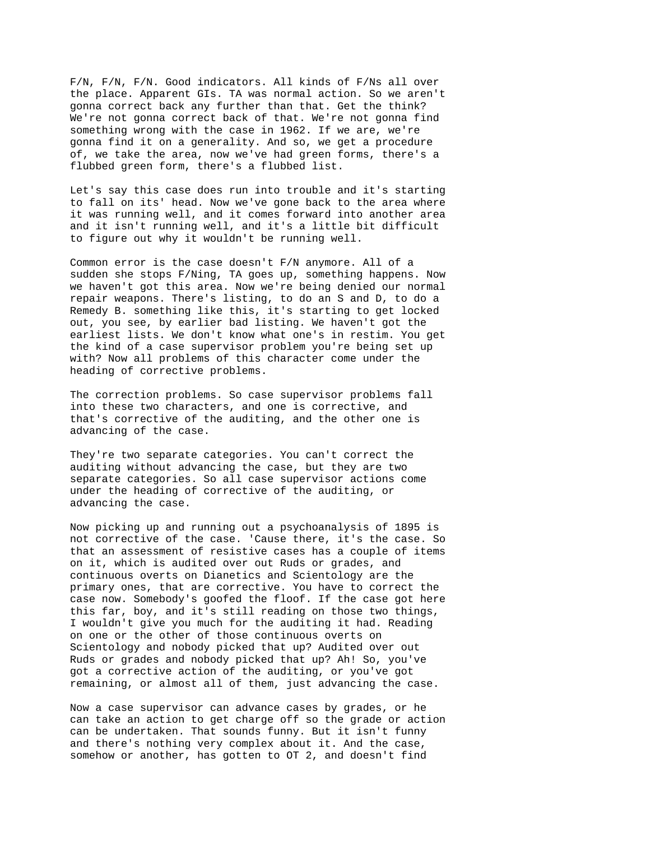F/N, F/N, F/N. Good indicators. All kinds of F/Ns all over the place. Apparent GIs. TA was normal action. So we aren't gonna correct back any further than that. Get the think? We're not gonna correct back of that. We're not gonna find something wrong with the case in 1962. If we are, we're gonna find it on a generality. And so, we get a procedure of, we take the area, now we've had green forms, there's a flubbed green form, there's a flubbed list.

Let's say this case does run into trouble and it's starting to fall on its' head. Now we've gone back to the area where it was running well, and it comes forward into another area and it isn't running well, and it's a little bit difficult to figure out why it wouldn't be running well.

Common error is the case doesn't F/N anymore. All of a sudden she stops F/Ning, TA goes up, something happens. Now we haven't got this area. Now we're being denied our normal repair weapons. There's listing, to do an S and D, to do a Remedy B. something like this, it's starting to get locked out, you see, by earlier bad listing. We haven't got the earliest lists. We don't know what one's in restim. You get the kind of a case supervisor problem you're being set up with? Now all problems of this character come under the heading of corrective problems.

The correction problems. So case supervisor problems fall into these two characters, and one is corrective, and that's corrective of the auditing, and the other one is advancing of the case.

They're two separate categories. You can't correct the auditing without advancing the case, but they are two separate categories. So all case supervisor actions come under the heading of corrective of the auditing, or advancing the case.

Now picking up and running out a psychoanalysis of 1895 is not corrective of the case. 'Cause there, it's the case. So that an assessment of resistive cases has a couple of items on it, which is audited over out Ruds or grades, and continuous overts on Dianetics and Scientology are the primary ones, that are corrective. You have to correct the case now. Somebody's goofed the floof. If the case got here this far, boy, and it's still reading on those two things, I wouldn't give you much for the auditing it had. Reading on one or the other of those continuous overts on Scientology and nobody picked that up? Audited over out Ruds or grades and nobody picked that up? Ah! So, you've got a corrective action of the auditing, or you've got remaining, or almost all of them, just advancing the case.

Now a case supervisor can advance cases by grades, or he can take an action to get charge off so the grade or action can be undertaken. That sounds funny. But it isn't funny and there's nothing very complex about it. And the case, somehow or another, has gotten to OT 2, and doesn't find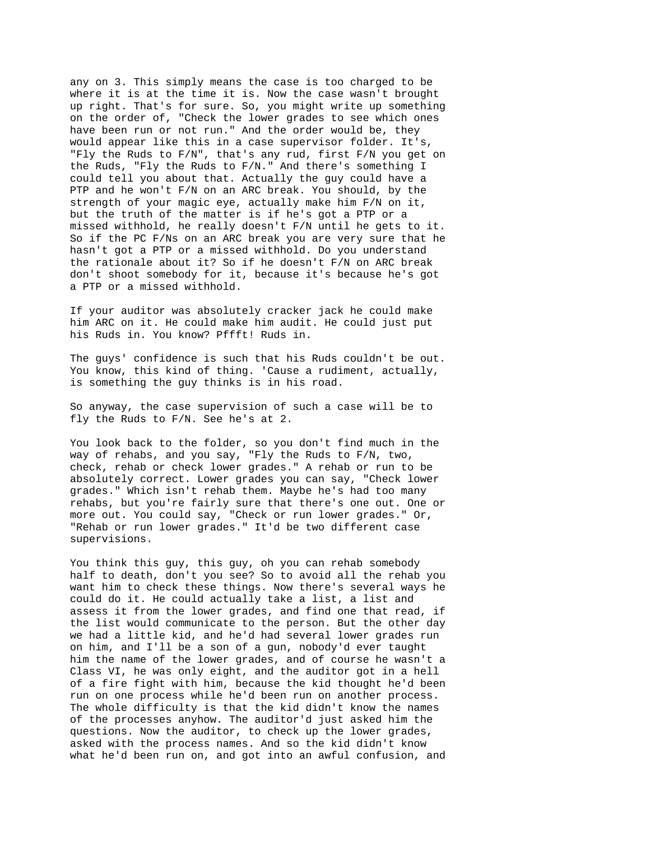any on 3. This simply means the case is too charged to be where it is at the time it is. Now the case wasn't brought up right. That's for sure. So, you might write up something on the order of, "Check the lower grades to see which ones have been run or not run." And the order would be, they would appear like this in a case supervisor folder. It's, "Fly the Ruds to F/N", that's any rud, first F/N you get on the Ruds, "Fly the Ruds to F/N." And there's something I could tell you about that. Actually the guy could have a PTP and he won't F/N on an ARC break. You should, by the strength of your magic eye, actually make him F/N on it, but the truth of the matter is if he's got a PTP or a missed withhold, he really doesn't F/N until he gets to it. So if the PC F/Ns on an ARC break you are very sure that he hasn't got a PTP or a missed withhold. Do you understand the rationale about it? So if he doesn't F/N on ARC break don't shoot somebody for it, because it's because he's got a PTP or a missed withhold.

If your auditor was absolutely cracker jack he could make him ARC on it. He could make him audit. He could just put his Ruds in. You know? Pffft! Ruds in.

The guys' confidence is such that his Ruds couldn't be out. You know, this kind of thing. 'Cause a rudiment, actually, is something the guy thinks is in his road.

So anyway, the case supervision of such a case will be to fly the Ruds to F/N. See he's at 2.

You look back to the folder, so you don't find much in the way of rehabs, and you say, "Fly the Ruds to F/N, two, check, rehab or check lower grades." A rehab or run to be absolutely correct. Lower grades you can say, "Check lower grades." Which isn't rehab them. Maybe he's had too many rehabs, but you're fairly sure that there's one out. One or more out. You could say, "Check or run lower grades." Or, "Rehab or run lower grades." It'd be two different case supervisions.

You think this guy, this guy, oh you can rehab somebody half to death, don't you see? So to avoid all the rehab you want him to check these things. Now there's several ways he could do it. He could actually take a list, a list and assess it from the lower grades, and find one that read, if the list would communicate to the person. But the other day we had a little kid, and he'd had several lower grades run on him, and I'll be a son of a gun, nobody'd ever taught him the name of the lower grades, and of course he wasn't a Class VI, he was only eight, and the auditor got in a hell of a fire fight with him, because the kid thought he'd been run on one process while he'd been run on another process. The whole difficulty is that the kid didn't know the names of the processes anyhow. The auditor'd just asked him the questions. Now the auditor, to check up the lower grades, asked with the process names. And so the kid didn't know what he'd been run on, and got into an awful confusion, and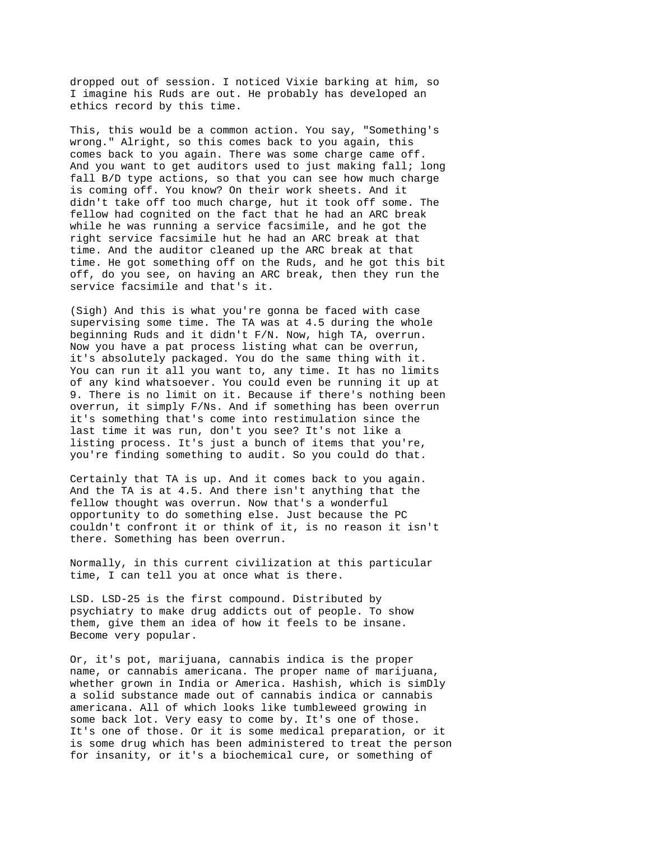dropped out of session. I noticed Vixie barking at him, so I imagine his Ruds are out. He probably has developed an ethics record by this time.

This, this would be a common action. You say, "Something's wrong." Alright, so this comes back to you again, this comes back to you again. There was some charge came off. And you want to get auditors used to just making fall; long fall B/D type actions, so that you can see how much charge is coming off. You know? On their work sheets. And it didn't take off too much charge, hut it took off some. The fellow had cognited on the fact that he had an ARC break while he was running a service facsimile, and he got the right service facsimile hut he had an ARC break at that time. And the auditor cleaned up the ARC break at that time. He got something off on the Ruds, and he got this bit off, do you see, on having an ARC break, then they run the service facsimile and that's it.

(Sigh) And this is what you're gonna be faced with case supervising some time. The TA was at 4.5 during the whole beginning Ruds and it didn't F/N. Now, high TA, overrun. Now you have a pat process listing what can be overrun, it's absolutely packaged. You do the same thing with it. You can run it all you want to, any time. It has no limits of any kind whatsoever. You could even be running it up at 9. There is no limit on it. Because if there's nothing been overrun, it simply F/Ns. And if something has been overrun it's something that's come into restimulation since the last time it was run, don't you see? It's not like a listing process. It's just a bunch of items that you're, you're finding something to audit. So you could do that.

Certainly that TA is up. And it comes back to you again. And the TA is at 4.5. And there isn't anything that the fellow thought was overrun. Now that's a wonderful opportunity to do something else. Just because the PC couldn't confront it or think of it, is no reason it isn't there. Something has been overrun.

Normally, in this current civilization at this particular time, I can tell you at once what is there.

LSD. LSD-25 is the first compound. Distributed by psychiatry to make drug addicts out of people. To show them, give them an idea of how it feels to be insane. Become very popular.

Or, it's pot, marijuana, cannabis indica is the proper name, or cannabis americana. The proper name of marijuana, whether grown in India or America. Hashish, which is simDly a solid substance made out of cannabis indica or cannabis americana. All of which looks like tumbleweed growing in some back lot. Very easy to come by. It's one of those. It's one of those. Or it is some medical preparation, or it is some drug which has been administered to treat the person for insanity, or it's a biochemical cure, or something of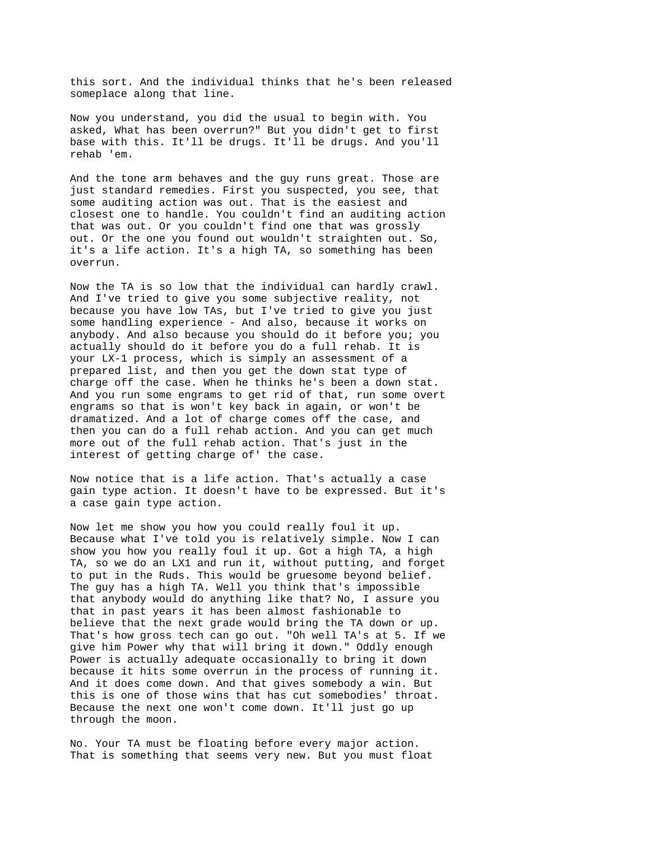this sort. And the individual thinks that he's been released someplace along that line.

Now you understand, you did the usual to begin with. You asked, What has been overrun?" But you didn't get to first base with this. It'll be drugs. It'll be drugs. And you'll rehab 'em.

And the tone arm behaves and the guy runs great. Those are just standard remedies. First you suspected, you see, that some auditing action was out. That is the easiest and closest one to handle. You couldn't find an auditing action that was out. Or you couldn't find one that was grossly out. Or the one you found out wouldn't straighten out. So, it's a life action. It's a high TA, so something has been overrun.

Now the TA is so low that the individual can hardly crawl. And I've tried to give you some subjective reality, not because you have low TAs, but I've tried to give you just some handling experience - And also, because it works on anybody. And also because you should do it before you; you actually should do it before you do a full rehab. It is your LX-1 process, which is simply an assessment of a prepared list, and then you get the down stat type of charge off the case. When he thinks he's been a down stat. And you run some engrams to get rid of that, run some overt engrams so that is won't key back in again, or won't be dramatized. And a lot of charge comes off the case, and then you can do a full rehab action. And you can get much more out of the full rehab action. That's just in the interest of getting charge of' the case.

Now notice that is a life action. That's actually a case gain type action. It doesn't have to be expressed. But it's a case gain type action.

Now let me show you how you could really foul it up. Because what I've told you is relatively simple. Now I can show you how you really foul it up. Got a high TA, a high TA, so we do an LX1 and run it, without putting, and forget to put in the Ruds. This would be gruesome beyond belief. The guy has a high TA. Well you think that's impossible that anybody would do anything like that? No, I assure you that in past years it has been almost fashionable to believe that the next grade would bring the TA down or up. That's how gross tech can go out. "Oh well TA's at 5. If we give him Power why that will bring it down." Oddly enough Power is actually adequate occasionally to bring it down because it hits some overrun in the process of running it. And it does come down. And that gives somebody a win. But this is one of those wins that has cut somebodies' throat. Because the next one won't come down. It'll just go up through the moon.

No. Your TA must be floating before every major action. That is something that seems very new. But you must float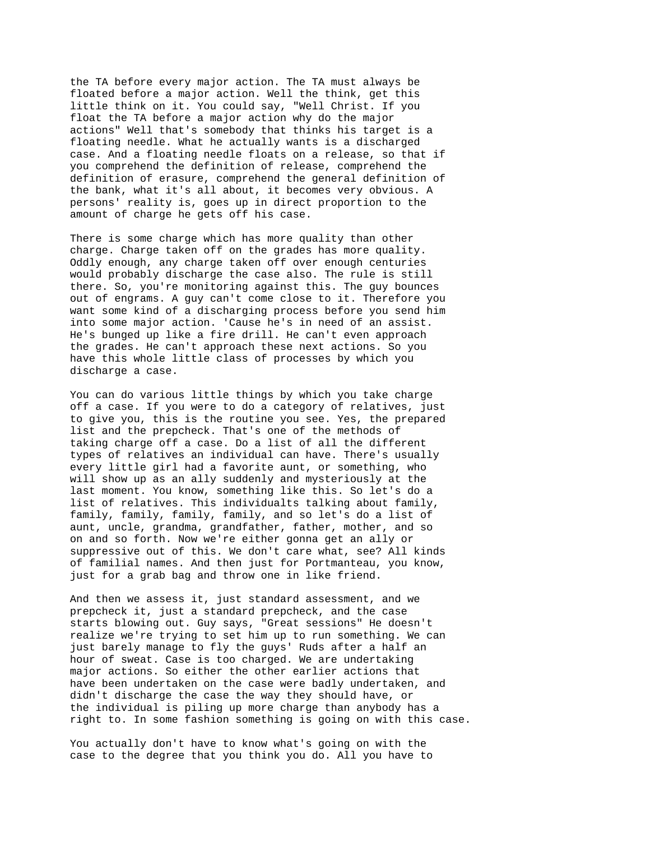the TA before every major action. The TA must always be floated before a major action. Well the think, get this little think on it. You could say, "Well Christ. If you float the TA before a major action why do the major actions" Well that's somebody that thinks his target is a floating needle. What he actually wants is a discharged case. And a floating needle floats on a release, so that if you comprehend the definition of release, comprehend the definition of erasure, comprehend the general definition of the bank, what it's all about, it becomes very obvious. A persons' reality is, goes up in direct proportion to the amount of charge he gets off his case.

There is some charge which has more quality than other charge. Charge taken off on the grades has more quality. Oddly enough, any charge taken off over enough centuries would probably discharge the case also. The rule is still there. So, you're monitoring against this. The guy bounces out of engrams. A guy can't come close to it. Therefore you want some kind of a discharging process before you send him into some major action. 'Cause he's in need of an assist. He's bunged up like a fire drill. He can't even approach the grades. He can't approach these next actions. So you have this whole little class of processes by which you discharge a case.

You can do various little things by which you take charge off a case. If you were to do a category of relatives, just to give you, this is the routine you see. Yes, the prepared list and the prepcheck. That's one of the methods of taking charge off a case. Do a list of all the different types of relatives an individual can have. There's usually every little girl had a favorite aunt, or something, who will show up as an ally suddenly and mysteriously at the last moment. You know, something like this. So let's do a list of relatives. This individualts talking about family, family, family, family, family, and so let's do a list of aunt, uncle, grandma, grandfather, father, mother, and so on and so forth. Now we're either gonna get an ally or suppressive out of this. We don't care what, see? All kinds of familial names. And then just for Portmanteau, you know, just for a grab bag and throw one in like friend.

And then we assess it, just standard assessment, and we prepcheck it, just a standard prepcheck, and the case starts blowing out. Guy says, "Great sessions" He doesn't realize we're trying to set him up to run something. We can just barely manage to fly the guys' Ruds after a half an hour of sweat. Case is too charged. We are undertaking major actions. So either the other earlier actions that have been undertaken on the case were badly undertaken, and didn't discharge the case the way they should have, or the individual is piling up more charge than anybody has a right to. In some fashion something is going on with this case.

You actually don't have to know what's going on with the case to the degree that you think you do. All you have to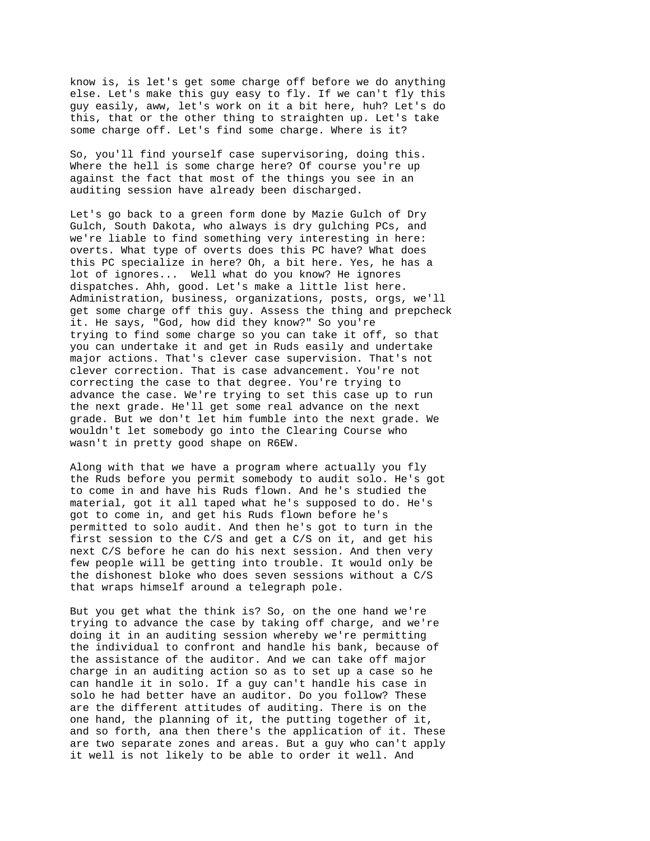know is, is let's get some charge off before we do anything else. Let's make this guy easy to fly. If we can't fly this guy easily, aww, let's work on it a bit here, huh? Let's do this, that or the other thing to straighten up. Let's take some charge off. Let's find some charge. Where is it?

So, you'll find yourself case supervisoring, doing this. Where the hell is some charge here? Of course you're up against the fact that most of the things you see in an auditing session have already been discharged.

Let's go back to a green form done by Mazie Gulch of Dry Gulch, South Dakota, who always is dry gulching PCs, and we're liable to find something very interesting in here: overts. What type of overts does this PC have? What does this PC specialize in here? Oh, a bit here. Yes, he has a lot of ignores... Well what do you know? He ignores dispatches. Ahh, good. Let's make a little list here. Administration, business, organizations, posts, orgs, we'll get some charge off this guy. Assess the thing and prepcheck it. He says, "God, how did they know?" So you're trying to find some charge so you can take it off, so that you can undertake it and get in Ruds easily and undertake major actions. That's clever case supervision. That's not clever correction. That is case advancement. You're not correcting the case to that degree. You're trying to advance the case. We're trying to set this case up to run the next grade. He'll get some real advance on the next grade. But we don't let him fumble into the next grade. We wouldn't let somebody go into the Clearing Course who wasn't in pretty good shape on R6EW.

Along with that we have a program where actually you fly the Ruds before you permit somebody to audit solo. He's got to come in and have his Ruds flown. And he's studied the material, got it all taped what he's supposed to do. He's got to come in, and get his Ruds flown before he's permitted to solo audit. And then he's got to turn in the first session to the C/S and get a C/S on it, and get his next C/S before he can do his next session. And then very few people will be getting into trouble. It would only be the dishonest bloke who does seven sessions without a C/S that wraps himself around a telegraph pole.

But you get what the think is? So, on the one hand we're trying to advance the case by taking off charge, and we're doing it in an auditing session whereby we're permitting the individual to confront and handle his bank, because of the assistance of the auditor. And we can take off major charge in an auditing action so as to set up a case so he can handle it in solo. If a guy can't handle his case in solo he had better have an auditor. Do you follow? These are the different attitudes of auditing. There is on the one hand, the planning of it, the putting together of it, and so forth, ana then there's the application of it. These are two separate zones and areas. But a guy who can't apply it well is not likely to be able to order it well. And